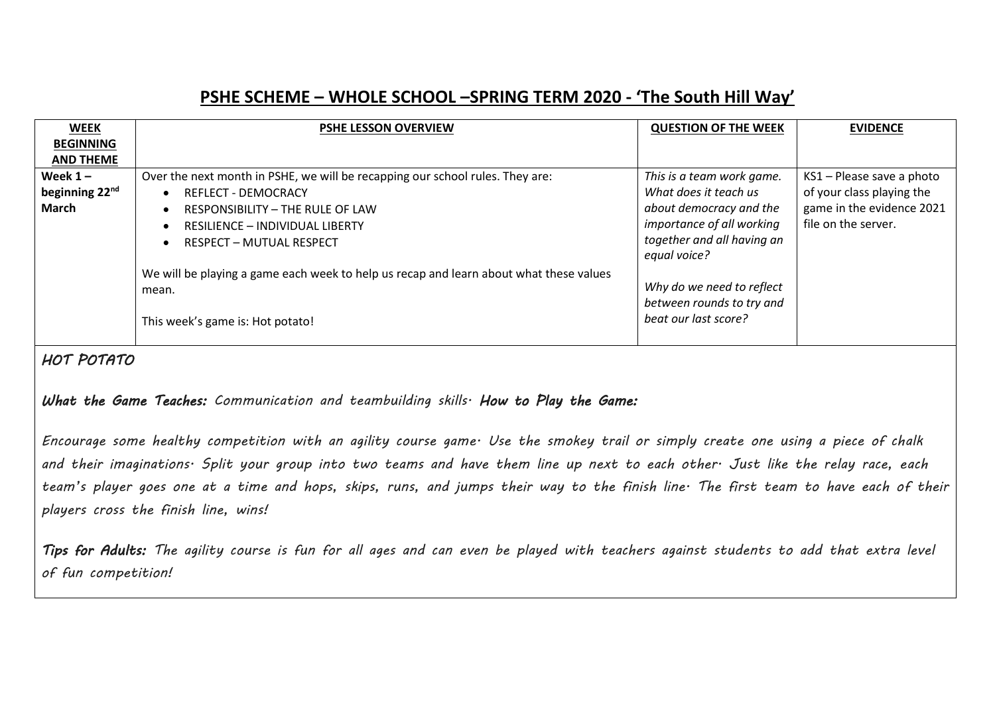# **PSHE SCHEME – WHOLE SCHOOL –SPRING TERM 2020 - 'The South Hill Way'**

| <b>WEEK</b>                | <b>PSHE LESSON OVERVIEW</b>                                                            | <b>QUESTION OF THE WEEK</b> | <b>EVIDENCE</b>           |
|----------------------------|----------------------------------------------------------------------------------------|-----------------------------|---------------------------|
| <b>BEGINNING</b>           |                                                                                        |                             |                           |
| <b>AND THEME</b>           |                                                                                        |                             |                           |
| Week $1 -$                 | Over the next month in PSHE, we will be recapping our school rules. They are:          | This is a team work game.   | KS1 - Please save a photo |
| beginning 22 <sup>nd</sup> | <b>REFLECT - DEMOCRACY</b>                                                             | What does it teach us       | of your class playing the |
| March                      | <b>RESPONSIBILITY - THE RULE OF LAW</b><br>٠                                           | about democracy and the     | game in the evidence 2021 |
|                            | <b>RESILIENCE - INDIVIDUAL LIBERTY</b><br>$\bullet$                                    | importance of all working   | file on the server.       |
|                            | <b>RESPECT - MUTUAL RESPECT</b><br>$\bullet$                                           | together and all having an  |                           |
|                            |                                                                                        | equal voice?                |                           |
|                            | We will be playing a game each week to help us recap and learn about what these values |                             |                           |
|                            | mean.                                                                                  | Why do we need to reflect   |                           |
|                            |                                                                                        | between rounds to try and   |                           |
|                            | This week's game is: Hot potato!                                                       | beat our last score?        |                           |
|                            |                                                                                        |                             |                           |

## *HOT POTATO*

## *What the Game Teaches: Communication and teambuilding skills. How to Play the Game:*

*Encourage some healthy competition with an agility course game. Use the smokey trail or simply create one using a piece of chalk and their imaginations. Split your group into two teams and have them line up next to each other. Just like the relay race, each team's player goes one at a time and hops, skips, runs, and jumps their way to the finish line. The first team to have each of their players cross the finish line, wins!*

*Tips for Adults: The agility course is fun for all ages and can even be played with teachers against students to add that extra level of fun competition!*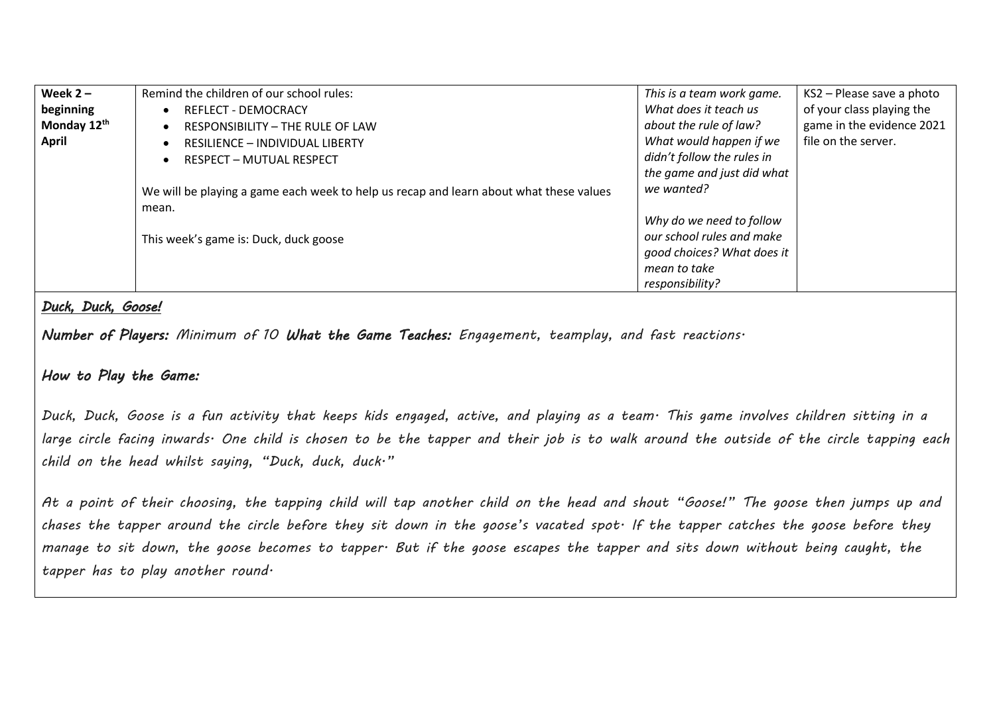| Week $2 -$  | Remind the children of our school rules:                                               | This is a team work game.  | KS2 - Please save a photo |
|-------------|----------------------------------------------------------------------------------------|----------------------------|---------------------------|
| beginning   | <b>REFLECT - DEMOCRACY</b>                                                             | What does it teach us      | of your class playing the |
| Monday 12th | RESPONSIBILITY - THE RULE OF LAW                                                       | about the rule of law?     | game in the evidence 2021 |
| April       | RESILIENCE - INDIVIDUAL LIBERTY                                                        | What would happen if we    | file on the server.       |
|             | <b>RESPECT - MUTUAL RESPECT</b>                                                        | didn't follow the rules in |                           |
|             |                                                                                        | the game and just did what |                           |
|             | We will be playing a game each week to help us recap and learn about what these values | we wanted?                 |                           |
|             | mean.                                                                                  |                            |                           |
|             |                                                                                        | Why do we need to follow   |                           |
|             | This week's game is: Duck, duck goose                                                  | our school rules and make  |                           |
|             |                                                                                        | good choices? What does it |                           |
|             |                                                                                        | mean to take               |                           |
|             |                                                                                        | responsibility?            |                           |

## *Duck, Duck, Goose!*

*Number of Players: Minimum of 10 What the Game Teaches: Engagement, teamplay, and fast reactions.*

### *How to Play the Game:*

*Duck, Duck, Goose is a fun activity that keeps kids engaged, active, and playing as a team. This game involves children sitting in a large circle facing inwards. One child is chosen to be the tapper and their job is to walk around the outside of the circle tapping each child on the head whilst saying, "Duck, duck, duck."*

*At a point of their choosing, the tapping child will tap another child on the head and shout "Goose!" The goose then jumps up and chases the tapper around the circle before they sit down in the goose's vacated spot. If the tapper catches the goose before they manage to sit down, the goose becomes to tapper. But if the goose escapes the tapper and sits down without being caught, the tapper has to play another round.*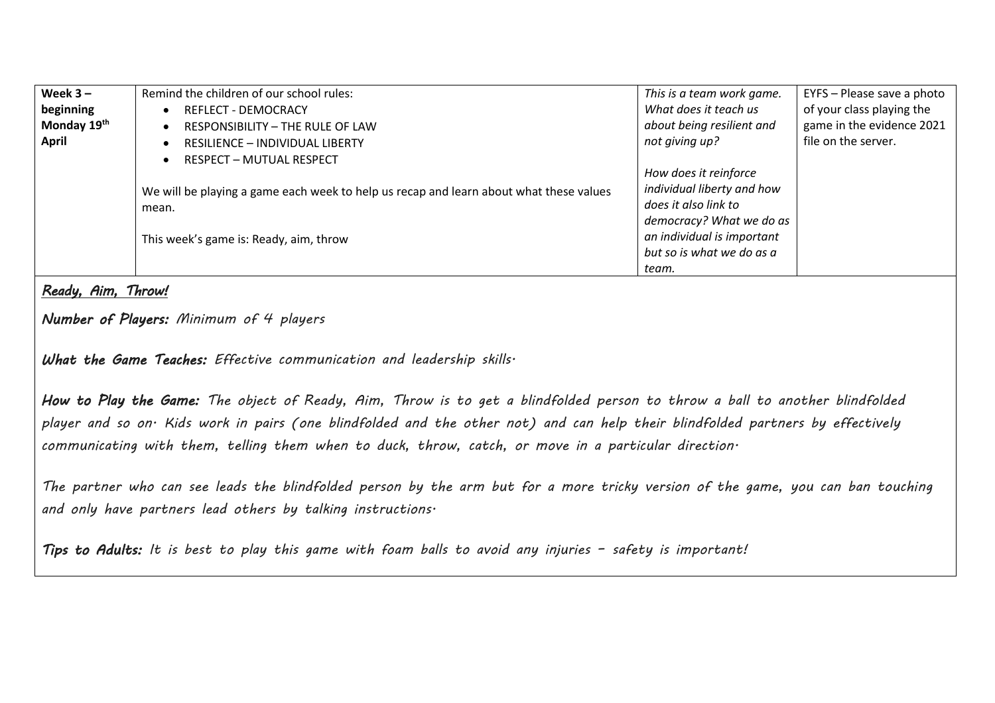| Week $3 -$  | Remind the children of our school rules:                                               | This is a team work game.  | EYFS - Please save a photo |
|-------------|----------------------------------------------------------------------------------------|----------------------------|----------------------------|
| beginning   | <b>REFLECT - DEMOCRACY</b>                                                             | What does it teach us      | of your class playing the  |
| Monday 19th | <b>RESPONSIBILITY - THE RULE OF LAW</b>                                                | about being resilient and  | game in the evidence 2021  |
| April       | <b>RESILIENCE - INDIVIDUAL LIBERTY</b>                                                 | not giving up?             | file on the server.        |
|             | <b>RESPECT - MUTUAL RESPECT</b><br>$\bullet$                                           |                            |                            |
|             |                                                                                        | How does it reinforce      |                            |
|             | We will be playing a game each week to help us recap and learn about what these values | individual liberty and how |                            |
|             | mean.                                                                                  | does it also link to       |                            |
|             |                                                                                        | democracy? What we do as   |                            |
|             | This week's game is: Ready, aim, throw                                                 | an individual is important |                            |
|             |                                                                                        | but so is what we do as a  |                            |
|             |                                                                                        | team.                      |                            |

*Ready, Aim, Throw!* 

*Number of Players: Minimum of 4 players*

*What the Game Teaches: Effective communication and leadership skills.*

*How to Play the Game: The object of Ready, Aim, Throw is to get a blindfolded person to throw a ball to another blindfolded player and so on. Kids work in pairs (one blindfolded and the other not) and can help their blindfolded partners by effectively communicating with them, telling them when to duck, throw, catch, or move in a particular direction.*

*The partner who can see leads the blindfolded person by the arm but for a more tricky version of the game, you can ban touching and only have partners lead others by talking instructions.*

Tips to Adults: It is best to play this game with foam balls to avoid any injuries - safety is important!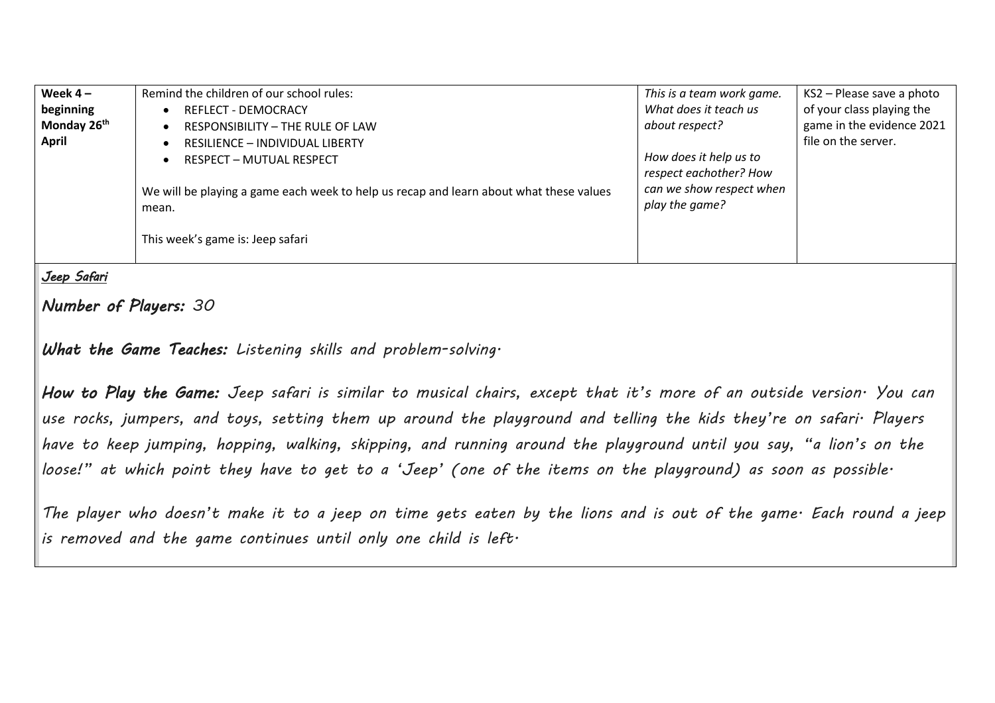| Week $4-$               | Remind the children of our school rules:                                                        | This is a team work game.                                            | KS2 - Please save a photo |
|-------------------------|-------------------------------------------------------------------------------------------------|----------------------------------------------------------------------|---------------------------|
| beginning               | REFLECT - DEMOCRACY<br>$\bullet$                                                                | What does it teach us                                                | of your class playing the |
| Monday 26 <sup>th</sup> | RESPONSIBILITY - THE RULE OF LAW<br>$\bullet$                                                   | about respect?                                                       | game in the evidence 2021 |
| April                   | <b>RESILIENCE - INDIVIDUAL LIBERTY</b>                                                          |                                                                      | file on the server.       |
|                         | RESPECT - MUTUAL RESPECT<br>$\bullet$                                                           | How does it help us to                                               |                           |
|                         | We will be playing a game each week to help us recap and learn about what these values<br>mean. | respect eachother? How<br>can we show respect when<br>play the game? |                           |
|                         | This week's game is: Jeep safari                                                                |                                                                      |                           |

*Jeep Safari* 

*Number of Players: 30*

*What the Game Teaches: Listening skills and problem-solving.*

*How to Play the Game: Jeep safari is similar to musical chairs, except that it's more of an outside version. You can use rocks, jumpers, and toys, setting them up around the playground and telling the kids they're on safari. Players have to keep jumping, hopping, walking, skipping, and running around the playground until you say, "a lion's on the loose!" at which point they have to get to a 'Jeep' (one of the items on the playground) as soon as possible.*

*The player who doesn't make it to a jeep on time gets eaten by the lions and is out of the game. Each round a jeep is removed and the game continues until only one child is left.*